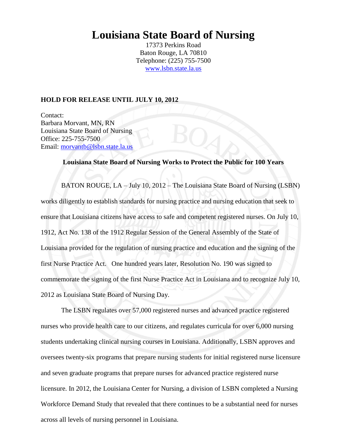# **Louisiana State Board of Nursing**

17373 Perkins Road Baton Rouge, LA 70810 Telephone: (225) 755-7500 [www.lsbn.state.la.us](http://www.lsbn.state.la.us/)

#### **HOLD FOR RELEASE UNTIL JULY 10, 2012**

Contact: Barbara Morvant, MN, RN Louisiana State Board of Nursing Office: 225-755-7500 Email: [morvantb@lsbn.state.la.us](mailto:morvantb@lsbn.state.la.us)

### **Louisiana State Board of Nursing Works to Protect the Public for 100 Years**

BATON ROUGE, LA – July 10, 2012 – The Louisiana State Board of Nursing (LSBN) works diligently to establish standards for nursing practice and nursing education that seek to ensure that Louisiana citizens have access to safe and competent registered nurses. On July 10, 1912, Act No. 138 of the 1912 Regular Session of the General Assembly of the State of Louisiana provided for the regulation of nursing practice and education and the signing of the first Nurse Practice Act. One hundred years later, Resolution No. 190 was signed to commemorate the signing of the first Nurse Practice Act in Louisiana and to recognize July 10, 2012 as Louisiana State Board of Nursing Day.

The LSBN regulates over 57,000 registered nurses and advanced practice registered nurses who provide health care to our citizens, and regulates curricula for over 6,000 nursing students undertaking clinical nursing courses in Louisiana. Additionally, LSBN approves and oversees twenty-six programs that prepare nursing students for initial registered nurse licensure and seven graduate programs that prepare nurses for advanced practice registered nurse licensure. In 2012, the Louisiana Center for Nursing, a division of LSBN completed a Nursing Workforce Demand Study that revealed that there continues to be a substantial need for nurses across all levels of nursing personnel in Louisiana.